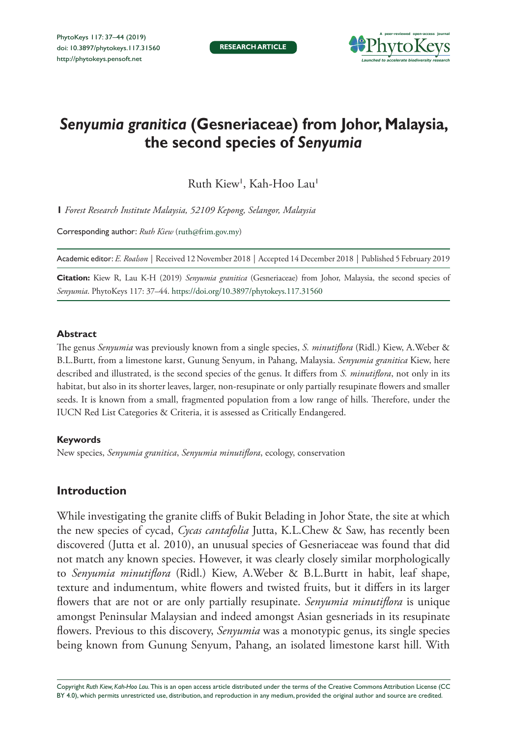

# *Senyumia granitica* **(Gesneriaceae) from Johor, Malaysia, the second species of** *Senyumia*

Ruth Kiew<sup>i</sup>, Kah-Hoo Lau<sup>i</sup>

**1** *Forest Research Institute Malaysia, 52109 Kepong, Selangor, Malaysia*

Corresponding author: *Ruth Kiew* [\(ruth@frim.gov.my\)](mailto:ruth@frim.gov.my)

Academic editor: *E. Roalson* | Received 12 November 2018 | Accepted 14 December 2018 | Published 5 February 2019

**Citation:** Kiew R, Lau K-H (2019) *Senyumia granitica* (Gesneriaceae) from Johor, Malaysia, the second species of *Senyumia*. PhytoKeys 117: 37–44.<https://doi.org/10.3897/phytokeys.117.31560>

#### **Abstract**

The genus *Senyumia* was previously known from a single species, *S. minutiflora* (Ridl.) Kiew, A.Weber & B.L.Burtt, from a limestone karst, Gunung Senyum, in Pahang, Malaysia. *Senyumia granitica* Kiew, here described and illustrated, is the second species of the genus. It differs from *S. minutiflora*, not only in its habitat, but also in its shorter leaves, larger, non-resupinate or only partially resupinate flowers and smaller seeds. It is known from a small, fragmented population from a low range of hills. Therefore, under the IUCN Red List Categories & Criteria, it is assessed as Critically Endangered.

#### **Keywords**

New species, *Senyumia granitica*, *Senyumia minutiflora*, ecology, conservation

## **Introduction**

While investigating the granite cliffs of Bukit Belading in Johor State, the site at which the new species of cycad, *Cycas cantafolia* Jutta, K.L.Chew & Saw, has recently been discovered (Jutta et al. 2010), an unusual species of Gesneriaceae was found that did not match any known species. However, it was clearly closely similar morphologically to *Senyumia minutiflora* (Ridl.) Kiew, A.Weber & B.L.Burtt in habit, leaf shape, texture and indumentum, white flowers and twisted fruits, but it differs in its larger flowers that are not or are only partially resupinate. *Senyumia minutiflora* is unique amongst Peninsular Malaysian and indeed amongst Asian gesneriads in its resupinate flowers. Previous to this discovery, *Senyumia* was a monotypic genus, its single species being known from Gunung Senyum, Pahang, an isolated limestone karst hill. With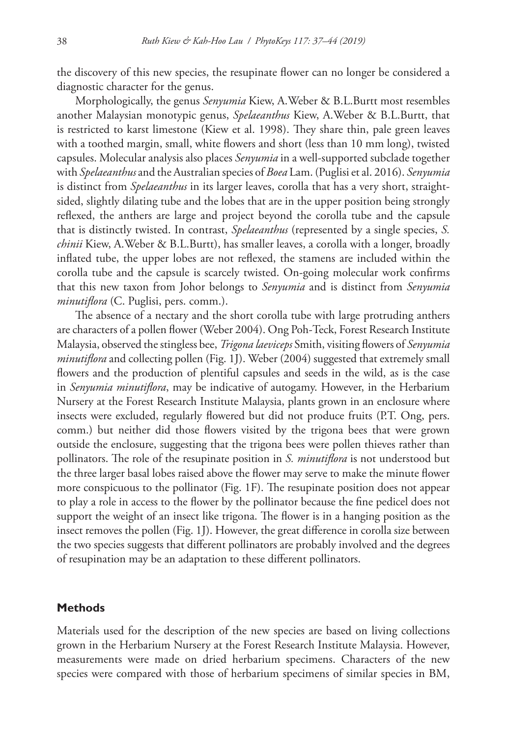the discovery of this new species, the resupinate flower can no longer be considered a diagnostic character for the genus.

Morphologically, the genus *Senyumia* Kiew, A.Weber & B.L.Burtt most resembles another Malaysian monotypic genus, *Spelaeanthus* Kiew, A.Weber & B.L.Burtt, that is restricted to karst limestone (Kiew et al. 1998). They share thin, pale green leaves with a toothed margin, small, white flowers and short (less than 10 mm long), twisted capsules. Molecular analysis also places *Senyumia* in a well-supported subclade together with *Spelaeanthus* and the Australian species of *Boea* Lam. (Puglisi et al. 2016). *Senyumia* is distinct from *Spelaeanthus* in its larger leaves, corolla that has a very short, straightsided, slightly dilating tube and the lobes that are in the upper position being strongly reflexed, the anthers are large and project beyond the corolla tube and the capsule that is distinctly twisted. In contrast, *Spelaeanthus* (represented by a single species, *S. chinii* Kiew, A.Weber & B.L.Burtt), has smaller leaves, a corolla with a longer, broadly inflated tube, the upper lobes are not reflexed, the stamens are included within the corolla tube and the capsule is scarcely twisted. On-going molecular work confirms that this new taxon from Johor belongs to *Senyumia* and is distinct from *Senyumia minutiflora* (C. Puglisi, pers. comm.).

The absence of a nectary and the short corolla tube with large protruding anthers are characters of a pollen flower (Weber 2004). Ong Poh-Teck, Forest Research Institute Malaysia, observed the stingless bee, *Trigona laeviceps* Smith, visiting flowers of *Senyumia minutiflora* and collecting pollen (Fig. 1J). Weber (2004) suggested that extremely small flowers and the production of plentiful capsules and seeds in the wild, as is the case in *Senyumia minutiflora*, may be indicative of autogamy. However, in the Herbarium Nursery at the Forest Research Institute Malaysia, plants grown in an enclosure where insects were excluded, regularly flowered but did not produce fruits (P.T. Ong, pers. comm.) but neither did those flowers visited by the trigona bees that were grown outside the enclosure, suggesting that the trigona bees were pollen thieves rather than pollinators. The role of the resupinate position in *S. minutiflora* is not understood but the three larger basal lobes raised above the flower may serve to make the minute flower more conspicuous to the pollinator (Fig. 1F). The resupinate position does not appear to play a role in access to the flower by the pollinator because the fine pedicel does not support the weight of an insect like trigona. The flower is in a hanging position as the insect removes the pollen (Fig. 1J). However, the great difference in corolla size between the two species suggests that different pollinators are probably involved and the degrees of resupination may be an adaptation to these different pollinators.

## **Methods**

Materials used for the description of the new species are based on living collections grown in the Herbarium Nursery at the Forest Research Institute Malaysia. However, measurements were made on dried herbarium specimens. Characters of the new species were compared with those of herbarium specimens of similar species in BM,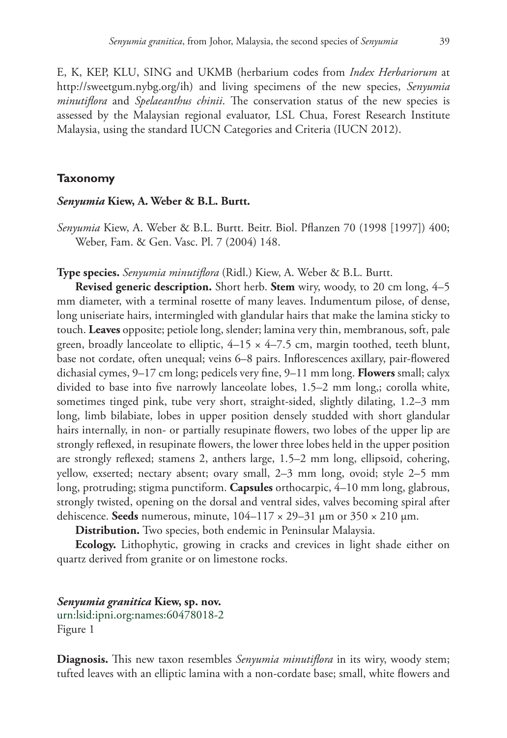E, K, KEP, KLU, SING and UKMB (herbarium codes from *Index Herbariorum* at [http://sweetgum.nybg.org/ih\)](http://sweetgum.nybg.org/ih) and living specimens of the new species, *Senyumia minutiflora* and *Spelaeanthus chinii*. The conservation status of the new species is assessed by the Malaysian regional evaluator, LSL Chua, Forest Research Institute Malaysia, using the standard IUCN Categories and Criteria (IUCN 2012).

#### **Taxonomy**

#### *Senyumia* **Kiew, A. Weber & B.L. Burtt.**

*Senyumia* Kiew, A. Weber & B.L. Burtt. Beitr. Biol. Pflanzen 70 (1998 [1997]) 400; Weber, Fam. & Gen. Vasc. Pl. 7 (2004) 148.

#### **Type species.** *Senyumia minutiflora* (Ridl.) Kiew, A. Weber & B.L. Burtt.

**Revised generic description.** Short herb. **Stem** wiry, woody, to 20 cm long, 4–5 mm diameter, with a terminal rosette of many leaves. Indumentum pilose, of dense, long uniseriate hairs, intermingled with glandular hairs that make the lamina sticky to touch. **Leaves** opposite; petiole long, slender; lamina very thin, membranous, soft, pale green, broadly lanceolate to elliptic,  $4-15 \times 4-7.5$  cm, margin toothed, teeth blunt, base not cordate, often unequal; veins 6–8 pairs. Inflorescences axillary, pair-flowered dichasial cymes, 9–17 cm long; pedicels very fine, 9–11 mm long. **Flowers** small; calyx divided to base into five narrowly lanceolate lobes, 1.5–2 mm long,; corolla white, sometimes tinged pink, tube very short, straight-sided, slightly dilating, 1.2–3 mm long, limb bilabiate, lobes in upper position densely studded with short glandular hairs internally, in non- or partially resupinate flowers, two lobes of the upper lip are strongly reflexed, in resupinate flowers, the lower three lobes held in the upper position are strongly reflexed; stamens 2, anthers large, 1.5–2 mm long, ellipsoid, cohering, yellow, exserted; nectary absent; ovary small, 2–3 mm long, ovoid; style 2–5 mm long, protruding; stigma punctiform. **Capsules** orthocarpic, 4–10 mm long, glabrous, strongly twisted, opening on the dorsal and ventral sides, valves becoming spiral after dehiscence. **Seeds** numerous, minute,  $104-117 \times 29-31$  µm or  $350 \times 210$  µm.

**Distribution.** Two species, both endemic in Peninsular Malaysia.

**Ecology.** Lithophytic, growing in cracks and crevices in light shade either on quartz derived from granite or on limestone rocks.

*Senyumia granitica* **Kiew, sp. nov.** [urn:lsid:ipni.org:names:60478018-2](http://ipni.org/urn:lsid:ipni.org:names:60478018-2) Figure 1

**Diagnosis.** This new taxon resembles *Senyumia minutiflora* in its wiry, woody stem; tufted leaves with an elliptic lamina with a non-cordate base; small, white flowers and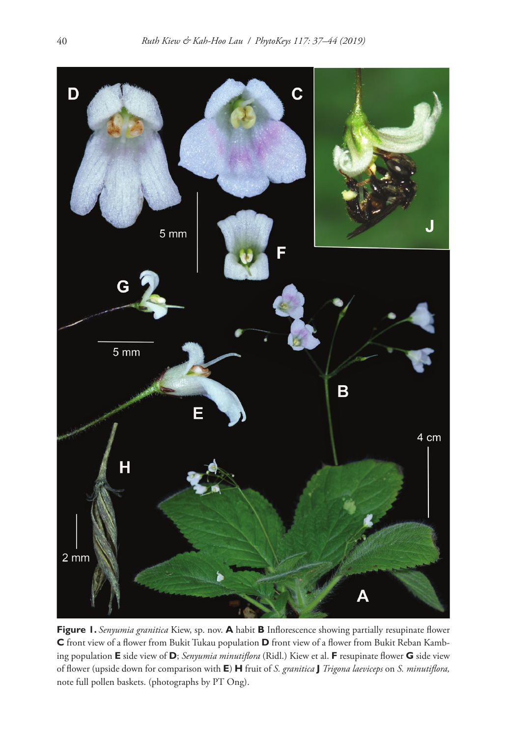

**Figure 1.** *Senyumia granitica* Kiew, sp. nov. **A** habit **B** Inflorescence showing partially resupinate flower **C** front view of a flower from Bukit Tukau population **D** front view of a flower from Bukit Reban Kambing population **E** side view of **D**; *Senyumia minutiflora* (Ridl.) Kiew et al. **F** resupinate flower **G** side view of flower (upside down for comparison with **E**) **H** fruit of *S. granitica* **J** *Trigona laeviceps* on *S. minutiflora,* note full pollen baskets. (photographs by PT Ong).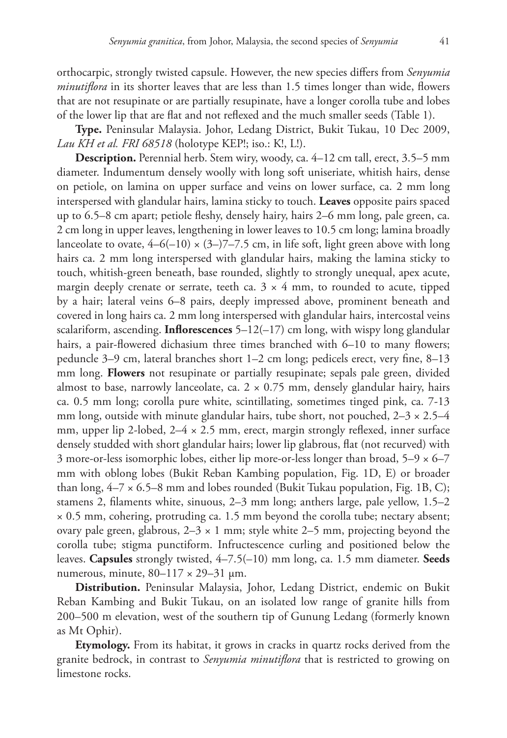orthocarpic, strongly twisted capsule. However, the new species differs from *Senyumia minutiflora* in its shorter leaves that are less than 1.5 times longer than wide, flowers that are not resupinate or are partially resupinate, have a longer corolla tube and lobes of the lower lip that are flat and not reflexed and the much smaller seeds (Table 1).

**Type.** Peninsular Malaysia. Johor, Ledang District, Bukit Tukau, 10 Dec 2009, *Lau KH et al. FRI 68518* (holotype KEP!; iso.: K!, L!).

**Description.** Perennial herb. Stem wiry, woody, ca. 4–12 cm tall, erect, 3.5–5 mm diameter. Indumentum densely woolly with long soft uniseriate, whitish hairs, dense on petiole, on lamina on upper surface and veins on lower surface, ca. 2 mm long interspersed with glandular hairs, lamina sticky to touch. **Leaves** opposite pairs spaced up to 6.5–8 cm apart; petiole fleshy, densely hairy, hairs 2–6 mm long, pale green, ca. 2 cm long in upper leaves, lengthening in lower leaves to 10.5 cm long; lamina broadly lanceolate to ovate,  $4-6(-10) \times (3-77-7.5)$  cm, in life soft, light green above with long hairs ca. 2 mm long interspersed with glandular hairs, making the lamina sticky to touch, whitish-green beneath, base rounded, slightly to strongly unequal, apex acute, margin deeply crenate or serrate, teeth ca.  $3 \times 4$  mm, to rounded to acute, tipped by a hair; lateral veins 6–8 pairs, deeply impressed above, prominent beneath and covered in long hairs ca. 2 mm long interspersed with glandular hairs, intercostal veins scalariform, ascending. **Inflorescences** 5–12(–17) cm long, with wispy long glandular hairs, a pair-flowered dichasium three times branched with 6–10 to many flowers; peduncle 3–9 cm, lateral branches short 1–2 cm long; pedicels erect, very fine, 8–13 mm long. **Flowers** not resupinate or partially resupinate; sepals pale green, divided almost to base, narrowly lanceolate, ca.  $2 \times 0.75$  mm, densely glandular hairy, hairs ca. 0.5 mm long; corolla pure white, scintillating, sometimes tinged pink, ca. 7-13 mm long, outside with minute glandular hairs, tube short, not pouched,  $2-3 \times 2.5-4$ mm, upper lip 2-lobed, 2–4 × 2.5 mm, erect, margin strongly reflexed, inner surface densely studded with short glandular hairs; lower lip glabrous, flat (not recurved) with 3 more-or-less isomorphic lobes, either lip more-or-less longer than broad,  $5-9 \times 6-7$ mm with oblong lobes (Bukit Reban Kambing population, Fig. 1D, E) or broader than long,  $4-7 \times 6.5-8$  mm and lobes rounded (Bukit Tukau population, Fig. 1B, C); stamens 2, filaments white, sinuous, 2–3 mm long; anthers large, pale yellow, 1.5–2 × 0.5 mm, cohering, protruding ca. 1.5 mm beyond the corolla tube; nectary absent; ovary pale green, glabrous,  $2-3 \times 1$  mm; style white  $2-5$  mm, projecting beyond the corolla tube; stigma punctiform. Infructescence curling and positioned below the leaves. **Capsules** strongly twisted, 4–7.5(–10) mm long, ca. 1.5 mm diameter. **Seeds** numerous, minute,  $80-117 \times 29-31$  µm.

**Distribution.** Peninsular Malaysia, Johor, Ledang District, endemic on Bukit Reban Kambing and Bukit Tukau, on an isolated low range of granite hills from 200–500 m elevation, west of the southern tip of Gunung Ledang (formerly known as Mt Ophir).

**Etymology.** From its habitat, it grows in cracks in quartz rocks derived from the granite bedrock, in contrast to *Senyumia minutiflora* that is restricted to growing on limestone rocks.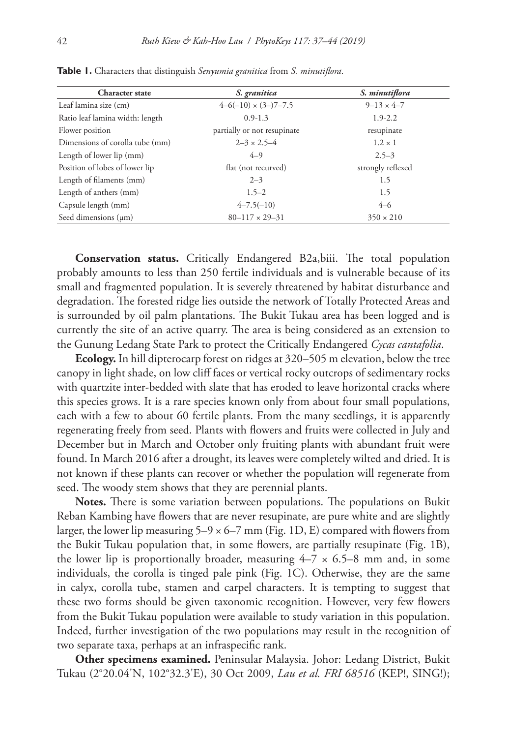| <b>Character state</b>          | S. granitica                 | S. minutiflora        |
|---------------------------------|------------------------------|-----------------------|
| Leaf lamina size (cm)           | $4-6(-10) \times (3-77-7.5)$ | $9 - 13 \times 4 - 7$ |
| Ratio leaf lamina width: length | $0.9 - 1.3$                  | $1.9 - 2.2$           |
| Flower position                 | partially or not resupinate  | resupinate            |
| Dimensions of corolla tube (mm) | $2 - 3 \times 2.5 - 4$       | $1.2 \times 1$        |
| Length of lower lip (mm)        | $4 - 9$                      | $2.5 - 3$             |
| Position of lobes of lower lip  | flat (not recurved)          | strongly reflexed     |
| Length of filaments (mm)        | $2 - 3$                      | 1.5                   |
| Length of anthers (mm)          | $1.5 - 2$                    | 1.5                   |
| Capsule length (mm)             | $4 - 7.5(-10)$               | $4 - 6$               |
| Seed dimensions $(\mu m)$       | $80 - 117 \times 29 - 31$    | $350 \times 210$      |

**Table 1.** Characters that distinguish *Senyumia granitica* from *S. minutiflora*.

**Conservation status.** Critically Endangered B2a,biii. The total population probably amounts to less than 250 fertile individuals and is vulnerable because of its small and fragmented population. It is severely threatened by habitat disturbance and degradation. The forested ridge lies outside the network of Totally Protected Areas and is surrounded by oil palm plantations. The Bukit Tukau area has been logged and is currently the site of an active quarry. The area is being considered as an extension to the Gunung Ledang State Park to protect the Critically Endangered *Cycas cantafolia*.

**Ecology.** In hill dipterocarp forest on ridges at 320–505 m elevation, below the tree canopy in light shade, on low cliff faces or vertical rocky outcrops of sedimentary rocks with quartzite inter-bedded with slate that has eroded to leave horizontal cracks where this species grows. It is a rare species known only from about four small populations, each with a few to about 60 fertile plants. From the many seedlings, it is apparently regenerating freely from seed. Plants with flowers and fruits were collected in July and December but in March and October only fruiting plants with abundant fruit were found. In March 2016 after a drought, its leaves were completely wilted and dried. It is not known if these plants can recover or whether the population will regenerate from seed. The woody stem shows that they are perennial plants.

**Notes.** There is some variation between populations. The populations on Bukit Reban Kambing have flowers that are never resupinate, are pure white and are slightly larger, the lower lip measuring  $5-9 \times 6-7$  mm (Fig. 1D, E) compared with flowers from the Bukit Tukau population that, in some flowers, are partially resupinate (Fig. 1B), the lower lip is proportionally broader, measuring  $4-7 \times 6.5-8$  mm and, in some individuals, the corolla is tinged pale pink (Fig. 1C). Otherwise, they are the same in calyx, corolla tube, stamen and carpel characters. It is tempting to suggest that these two forms should be given taxonomic recognition. However, very few flowers from the Bukit Tukau population were available to study variation in this population. Indeed, further investigation of the two populations may result in the recognition of two separate taxa, perhaps at an infraspecific rank.

**Other specimens examined.** Peninsular Malaysia. Johor: Ledang District, Bukit Tukau (2°20.04'N, 102°32.3'E), 30 Oct 2009, *Lau et al. FRI 68516* (KEP!, SING!);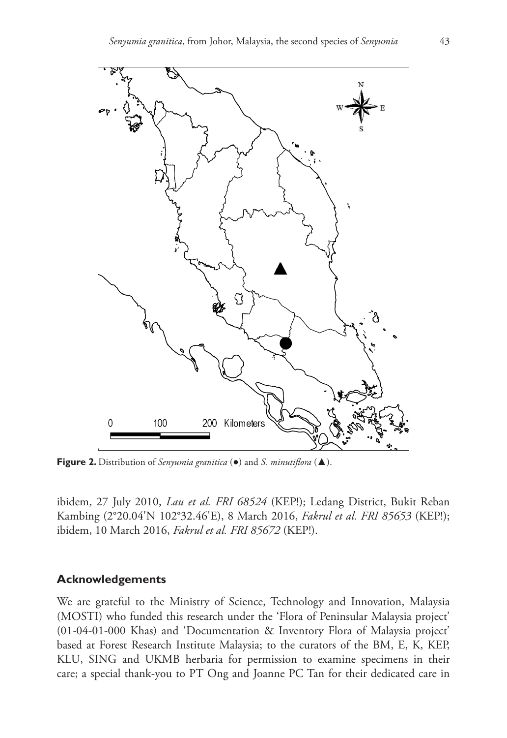

**Figure 2.** Distribution of *Senyumia granitica* (●) and *S. minutiflora* (▲).

ibidem, 27 July 2010, *Lau et al. FRI 68524* (KEP!); Ledang District, Bukit Reban Kambing (2°20.04'N 102°32.46'E), 8 March 2016, *Fakrul et al. FRI 85653* (KEP!); ibidem, 10 March 2016, *Fakrul et al. FRI 85672* (KEP!).

## **Acknowledgements**

We are grateful to the Ministry of Science, Technology and Innovation, Malaysia (MOSTI) who funded this research under the 'Flora of Peninsular Malaysia project' (01-04-01-000 Khas) and 'Documentation & Inventory Flora of Malaysia project' based at Forest Research Institute Malaysia; to the curators of the BM, E, K, KEP, KLU, SING and UKMB herbaria for permission to examine specimens in their care; a special thank-you to PT Ong and Joanne PC Tan for their dedicated care in